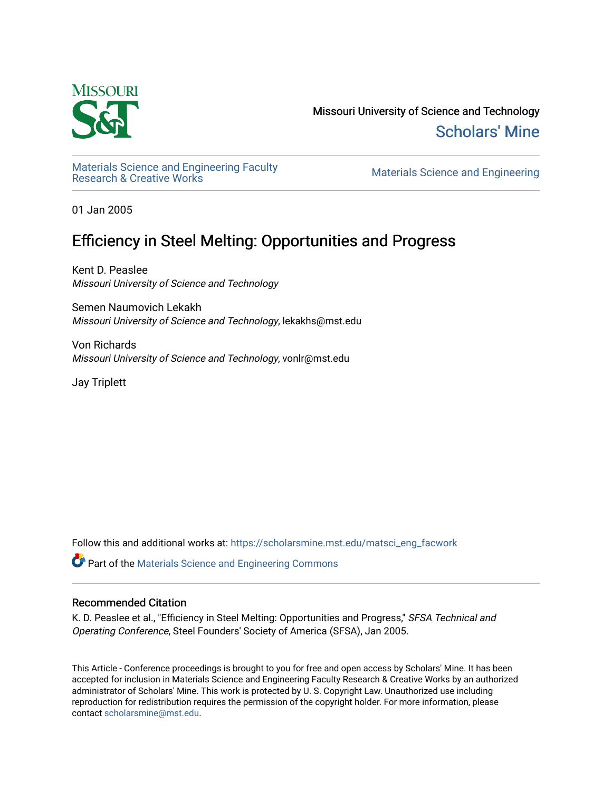

Missouri University of Science and Technology [Scholars' Mine](https://scholarsmine.mst.edu/) 

Materials Science and Engineering Faculty<br>Research & Creative Works

Materials Science and Engineering

01 Jan 2005

# Efficiency in Steel Melting: Opportunities and Progress

Kent D. Peaslee Missouri University of Science and Technology

Semen Naumovich Lekakh Missouri University of Science and Technology, lekakhs@mst.edu

Von Richards Missouri University of Science and Technology, vonlr@mst.edu

Jay Triplett

Follow this and additional works at: [https://scholarsmine.mst.edu/matsci\\_eng\\_facwork](https://scholarsmine.mst.edu/matsci_eng_facwork?utm_source=scholarsmine.mst.edu%2Fmatsci_eng_facwork%2F1433&utm_medium=PDF&utm_campaign=PDFCoverPages) 

Part of the [Materials Science and Engineering Commons](http://network.bepress.com/hgg/discipline/285?utm_source=scholarsmine.mst.edu%2Fmatsci_eng_facwork%2F1433&utm_medium=PDF&utm_campaign=PDFCoverPages) 

#### Recommended Citation

K. D. Peaslee et al., "Efficiency in Steel Melting: Opportunities and Progress," SFSA Technical and Operating Conference, Steel Founders' Society of America (SFSA), Jan 2005.

This Article - Conference proceedings is brought to you for free and open access by Scholars' Mine. It has been accepted for inclusion in Materials Science and Engineering Faculty Research & Creative Works by an authorized administrator of Scholars' Mine. This work is protected by U. S. Copyright Law. Unauthorized use including reproduction for redistribution requires the permission of the copyright holder. For more information, please contact [scholarsmine@mst.edu](mailto:scholarsmine@mst.edu).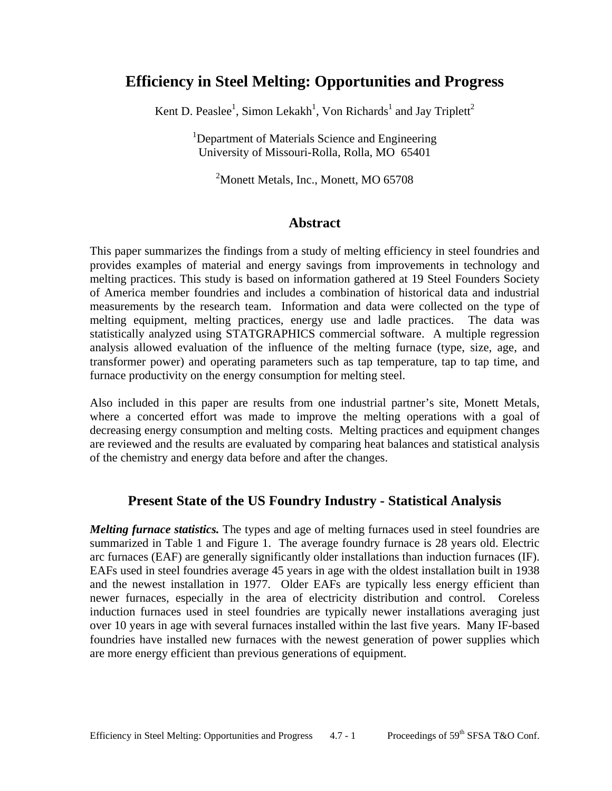## **Efficiency in Steel Melting: Opportunities and Progress**

Kent D. Peaslee<sup>1</sup>, Simon Lekakh<sup>1</sup>, Von Richards<sup>1</sup> and Jay Triplett<sup>2</sup>

<sup>1</sup>Department of Materials Science and Engineering University of Missouri-Rolla, Rolla, MO 65401

<sup>2</sup>Monett Metals, Inc., Monett, MO 65708

#### **Abstract**

This paper summarizes the findings from a study of melting efficiency in steel foundries and provides examples of material and energy savings from improvements in technology and melting practices. This study is based on information gathered at 19 Steel Founders Society of America member foundries and includes a combination of historical data and industrial measurements by the research team. Information and data were collected on the type of melting equipment, melting practices, energy use and ladle practices. The data was statistically analyzed using STATGRAPHICS commercial software. A multiple regression analysis allowed evaluation of the influence of the melting furnace (type, size, age, and transformer power) and operating parameters such as tap temperature, tap to tap time, and furnace productivity on the energy consumption for melting steel.

Also included in this paper are results from one industrial partner's site, Monett Metals, where a concerted effort was made to improve the melting operations with a goal of decreasing energy consumption and melting costs. Melting practices and equipment changes are reviewed and the results are evaluated by comparing heat balances and statistical analysis of the chemistry and energy data before and after the changes.

#### **Present State of the US Foundry Industry - Statistical Analysis**

*Melting furnace statistics.* The types and age of melting furnaces used in steel foundries are summarized in Table 1 and Figure 1. The average foundry furnace is 28 years old. Electric arc furnaces (EAF) are generally significantly older installations than induction furnaces (IF). EAFs used in steel foundries average 45 years in age with the oldest installation built in 1938 and the newest installation in 1977. Older EAFs are typically less energy efficient than newer furnaces, especially in the area of electricity distribution and control. Coreless induction furnaces used in steel foundries are typically newer installations averaging just over 10 years in age with several furnaces installed within the last five years. Many IF-based foundries have installed new furnaces with the newest generation of power supplies which are more energy efficient than previous generations of equipment.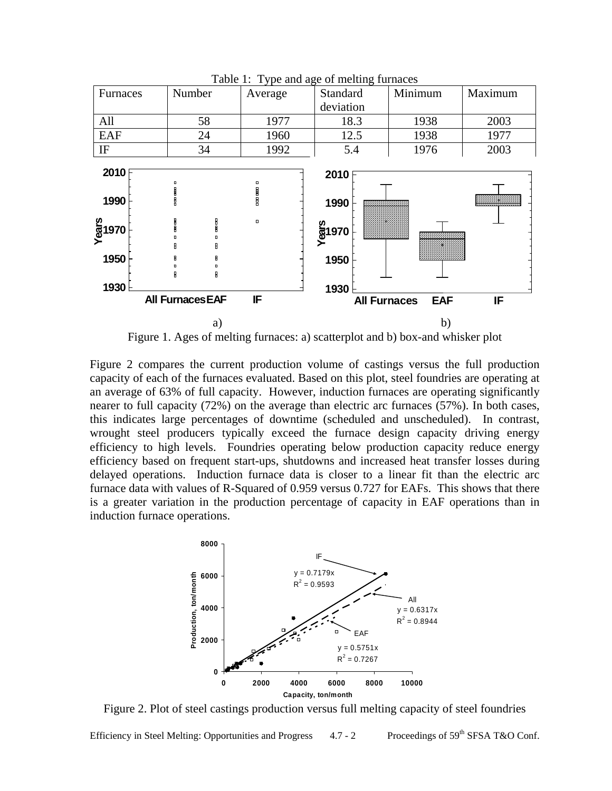

Table 1: Type and age of melting furnaces



Figure 2 compares the current production volume of castings versus the full production capacity of each of the furnaces evaluated. Based on this plot, steel foundries are operating at an average of 63% of full capacity. However, induction furnaces are operating significantly nearer to full capacity (72%) on the average than electric arc furnaces (57%). In both cases, this indicates large percentages of downtime (scheduled and unscheduled). In contrast, wrought steel producers typically exceed the furnace design capacity driving energy efficiency to high levels. Foundries operating below production capacity reduce energy efficiency based on frequent start-ups, shutdowns and increased heat transfer losses during delayed operations. Induction furnace data is closer to a linear fit than the electric arc furnace data with values of R-Squared of 0.959 versus 0.727 for EAFs. This shows that there is a greater variation in the production percentage of capacity in EAF operations than in induction furnace operations.



Figure 2. Plot of steel castings production versus full melting capacity of steel foundries

Efficiency in Steel Melting: Opportunities and Progress  $4.7 - 2$  Proceedings of 59<sup>th</sup> SFSA T&O Conf.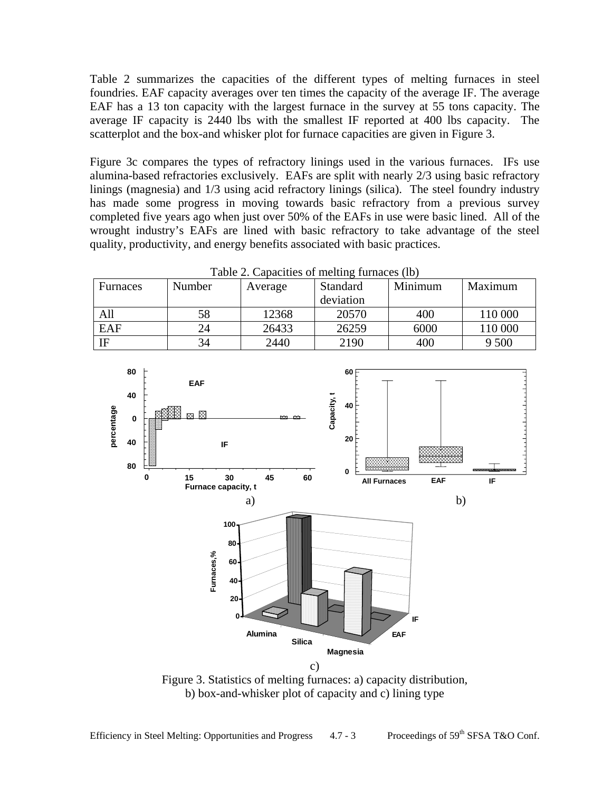Table 2 summarizes the capacities of the different types of melting furnaces in steel foundries. EAF capacity averages over ten times the capacity of the average IF. The average EAF has a 13 ton capacity with the largest furnace in the survey at 55 tons capacity. The average IF capacity is 2440 lbs with the smallest IF reported at 400 lbs capacity. The scatterplot and the box-and whisker plot for furnace capacities are given in Figure 3.

Figure 3c compares the types of refractory linings used in the various furnaces. IFs use alumina-based refractories exclusively. EAFs are split with nearly 2/3 using basic refractory linings (magnesia) and 1/3 using acid refractory linings (silica). The steel foundry industry has made some progress in moving towards basic refractory from a previous survey completed five years ago when just over 50% of the EAFs in use were basic lined. All of the wrought industry's EAFs are lined with basic refractory to take advantage of the steel quality, productivity, and energy benefits associated with basic practices.

| Table 2. Capacities of melting furnaces (lb) |        |         |           |         |         |  |  |
|----------------------------------------------|--------|---------|-----------|---------|---------|--|--|
| Furnaces                                     | Number | Average | Standard  | Minimum | Maximum |  |  |
|                                              |        |         | deviation |         |         |  |  |
| All                                          | 58     | 12368   | 20570     | 400     | 110 000 |  |  |
| EAF                                          | 24     | 26433   | 26259     | 6000    | 110 000 |  |  |
| IF                                           | 34     | 2440    | 2190      | 400     | 9 500   |  |  |



Figure 3. Statistics of melting furnaces: a) capacity distribution, b) box-and-whisker plot of capacity and c) lining type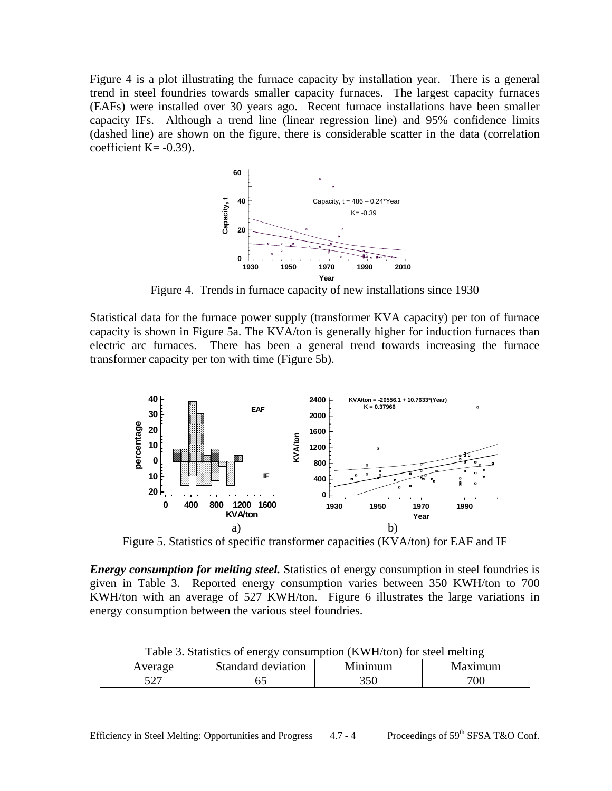Figure 4 is a plot illustrating the furnace capacity by installation year. There is a general trend in steel foundries towards smaller capacity furnaces. The largest capacity furnaces (EAFs) were installed over 30 years ago. Recent furnace installations have been smaller capacity IFs. Although a trend line (linear regression line) and 95% confidence limits (dashed line) are shown on the figure, there is considerable scatter in the data (correlation coefficient  $K = -0.39$ ).



Figure 4. Trends in furnace capacity of new installations since 1930

Statistical data for the furnace power supply (transformer KVA capacity) per ton of furnace capacity is shown in Figure 5a. The KVA/ton is generally higher for induction furnaces than electric arc furnaces. There has been a general trend towards increasing the furnace transformer capacity per ton with time (Figure 5b).



Figure 5. Statistics of specific transformer capacities (KVA/ton) for EAF and IF

*Energy consumption for melting steel.* Statistics of energy consumption in steel foundries is given in Table 3. Reported energy consumption varies between 350 KWH/ton to 700 KWH/ton with an average of 527 KWH/ton. Figure 6 illustrates the large variations in energy consumption between the various steel foundries.

| Table 3. Statistics of energy consumption (KWH/ton) for steel melting |                    |         |         |  |  |  |
|-----------------------------------------------------------------------|--------------------|---------|---------|--|--|--|
| Average                                                               | Standard deviation | Minimum | Maximum |  |  |  |
| 507                                                                   |                    | 350     | 700     |  |  |  |

Table 3. Statistics of energy consumption (KWH/ton) for steel melting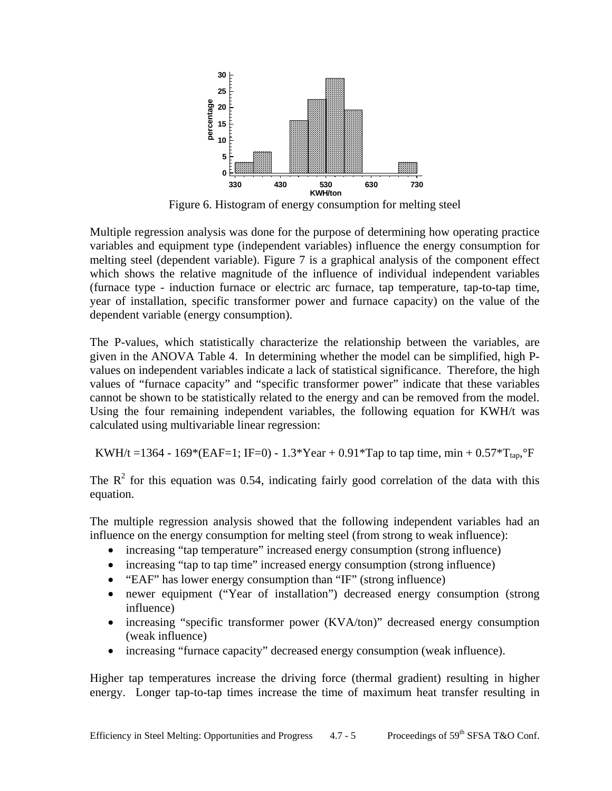

Figure 6. Histogram of energy consumption for melting steel

Multiple regression analysis was done for the purpose of determining how operating practice variables and equipment type (independent variables) influence the energy consumption for melting steel (dependent variable). Figure 7 is a graphical analysis of the component effect which shows the relative magnitude of the influence of individual independent variables (furnace type - induction furnace or electric arc furnace, tap temperature, tap-to-tap time, year of installation, specific transformer power and furnace capacity) on the value of the dependent variable (energy consumption).

The P-values, which statistically characterize the relationship between the variables, are given in the ANOVA Table 4. In determining whether the model can be simplified, high Pvalues on independent variables indicate a lack of statistical significance. Therefore, the high values of "furnace capacity" and "specific transformer power" indicate that these variables cannot be shown to be statistically related to the energy and can be removed from the model. Using the four remaining independent variables, the following equation for KWH/t was calculated using multivariable linear regression:

KWH/t =1364 - 169\*(EAF=1; IF=0) - 1.3\*Year + 0.91\*Tap to tap time, min + 0.57\*T<sub>tap</sub>,°F

The  $\mathbb{R}^2$  for this equation was 0.54, indicating fairly good correlation of the data with this equation.

The multiple regression analysis showed that the following independent variables had an influence on the energy consumption for melting steel (from strong to weak influence):

- increasing "tap temperature" increased energy consumption (strong influence)
- increasing "tap to tap time" increased energy consumption (strong influence)
- "EAF" has lower energy consumption than "IF" (strong influence)
- newer equipment ("Year of installation") decreased energy consumption (strong influence)
- increasing "specific transformer power (KVA/ton)" decreased energy consumption (weak influence)
- increasing "furnace capacity" decreased energy consumption (weak influence).

Higher tap temperatures increase the driving force (thermal gradient) resulting in higher energy. Longer tap-to-tap times increase the time of maximum heat transfer resulting in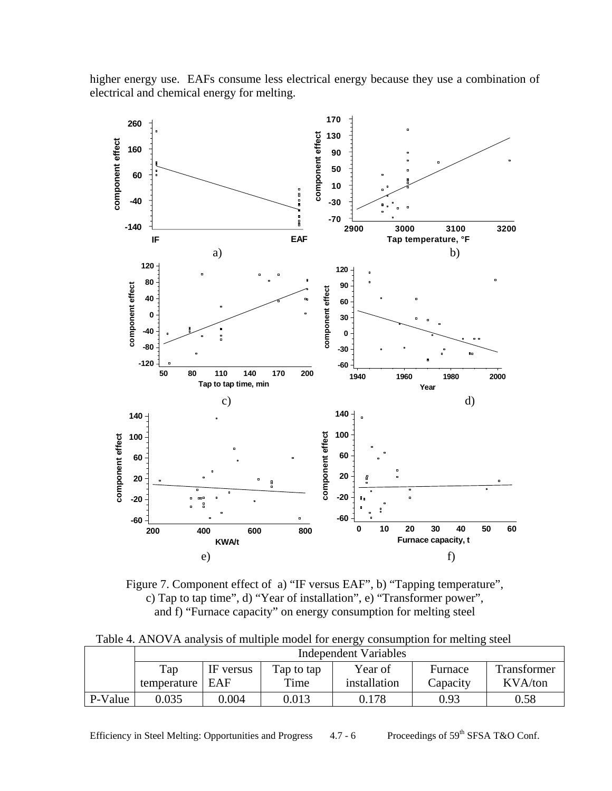



Figure 7. Component effect of a) "IF versus EAF", b) "Tapping temperature", c) Tap to tap time", d) "Year of installation", e) "Transformer power", and f) "Furnace capacity" on energy consumption for melting steel

Table 4. ANOVA analysis of multiple model for energy consumption for melting steel

|         | <b>Independent Variables</b> |           |            |              |          |             |
|---------|------------------------------|-----------|------------|--------------|----------|-------------|
|         | Tap                          | IF versus | Tap to tap | Year of      | Furnace  | Transformer |
|         | temperature                  | EAF       | Time       | installation | Capacity | KVA/ton     |
| P-Value | 9.035                        | 0.004     | 0.013      | 0.178        | 0.93     | 0.58        |

Efficiency in Steel Melting: Opportunities and Progress  $4.7 - 6$  Proceedings of 59<sup>th</sup> SFSA T&O Conf.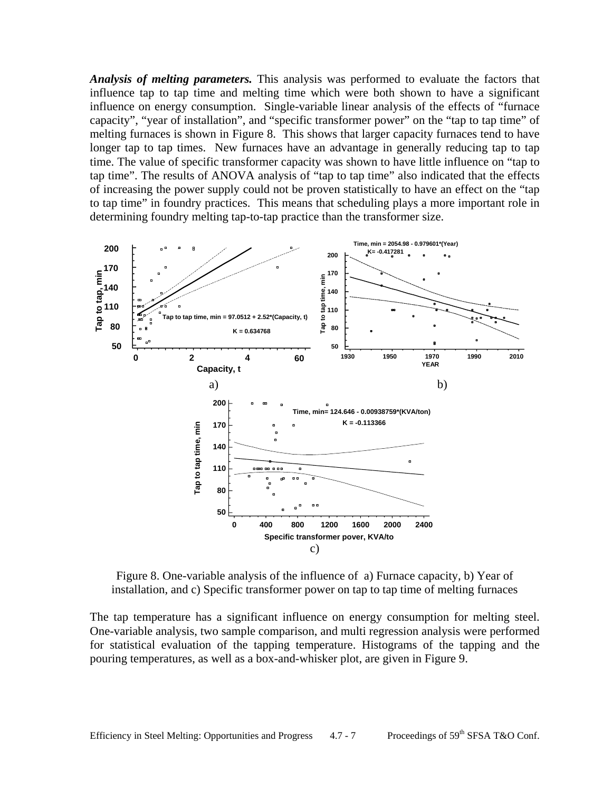*Analysis of melting parameters.* This analysis was performed to evaluate the factors that influence tap to tap time and melting time which were both shown to have a significant influence on energy consumption. Single-variable linear analysis of the effects of "furnace capacity", "year of installation", and "specific transformer power" on the "tap to tap time" of melting furnaces is shown in Figure 8. This shows that larger capacity furnaces tend to have longer tap to tap times. New furnaces have an advantage in generally reducing tap to tap time. The value of specific transformer capacity was shown to have little influence on "tap to tap time". The results of ANOVA analysis of "tap to tap time" also indicated that the effects of increasing the power supply could not be proven statistically to have an effect on the "tap to tap time" in foundry practices. This means that scheduling plays a more important role in determining foundry melting tap-to-tap practice than the transformer size.



Figure 8. One-variable analysis of the influence of a) Furnace capacity, b) Year of installation, and c) Specific transformer power on tap to tap time of melting furnaces

The tap temperature has a significant influence on energy consumption for melting steel. One-variable analysis, two sample comparison, and multi regression analysis were performed for statistical evaluation of the tapping temperature. Histograms of the tapping and the pouring temperatures, as well as a box-and-whisker plot, are given in Figure 9.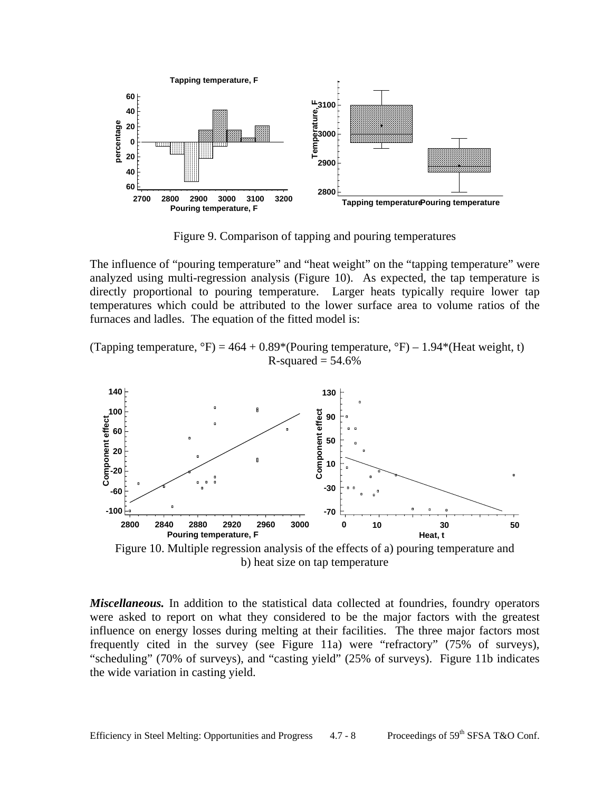

Figure 9. Comparison of tapping and pouring temperatures

The influence of "pouring temperature" and "heat weight" on the "tapping temperature" were analyzed using multi-regression analysis (Figure 10). As expected, the tap temperature is directly proportional to pouring temperature. Larger heats typically require lower tap temperatures which could be attributed to the lower surface area to volume ratios of the furnaces and ladles. The equation of the fitted model is:

(Tapping temperature,  ${}^{\circ}F$ ) = 464 + 0.89\*(Pouring temperature,  ${}^{\circ}F$ ) – 1.94\*(Heat weight, t)  $R$ -squared = 54.6%



Figure 10. Multiple regression analysis of the effects of a) pouring temperature and b) heat size on tap temperature

*Miscellaneous.* In addition to the statistical data collected at foundries, foundry operators were asked to report on what they considered to be the major factors with the greatest influence on energy losses during melting at their facilities. The three major factors most frequently cited in the survey (see Figure 11a) were "refractory" (75% of surveys), "scheduling" (70% of surveys), and "casting yield" (25% of surveys). Figure 11b indicates the wide variation in casting yield.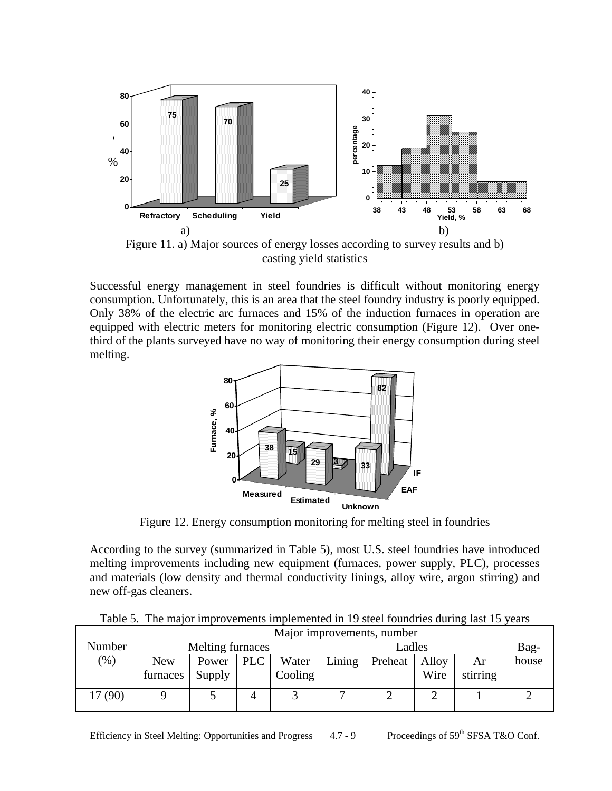

casting yield statistics

Successful energy management in steel foundries is difficult without monitoring energy consumption. Unfortunately, this is an area that the steel foundry industry is poorly equipped. Only 38% of the electric arc furnaces and 15% of the induction furnaces in operation are equipped with electric meters for monitoring electric consumption (Figure 12). Over onethird of the plants surveyed have no way of monitoring their energy consumption during steel melting.



Figure 12. Energy consumption monitoring for melting steel in foundries

According to the survey (summarized in Table 5), most U.S. steel foundries have introduced melting improvements including new equipment (furnaces, power supply, PLC), processes and materials (low density and thermal conductivity linings, alloy wire, argon stirring) and new off-gas cleaners.

Table 5. The major improvements implemented in 19 steel foundries during last 15 years

|         | Major improvements, number |                  |     |         |        |         |       |          |       |
|---------|----------------------------|------------------|-----|---------|--------|---------|-------|----------|-------|
| Number  |                            | Melting furnaces |     |         |        | Ladles  |       |          | Bag-  |
| (%)     | <b>New</b>                 | Power            | PLC | Water   | Lining | Preheat | Alloy | Ar       | house |
|         | furnaces                   | Supply           |     | Cooling |        |         | Wire  | stirring |       |
| 17 (90) |                            |                  |     |         |        |         |       |          |       |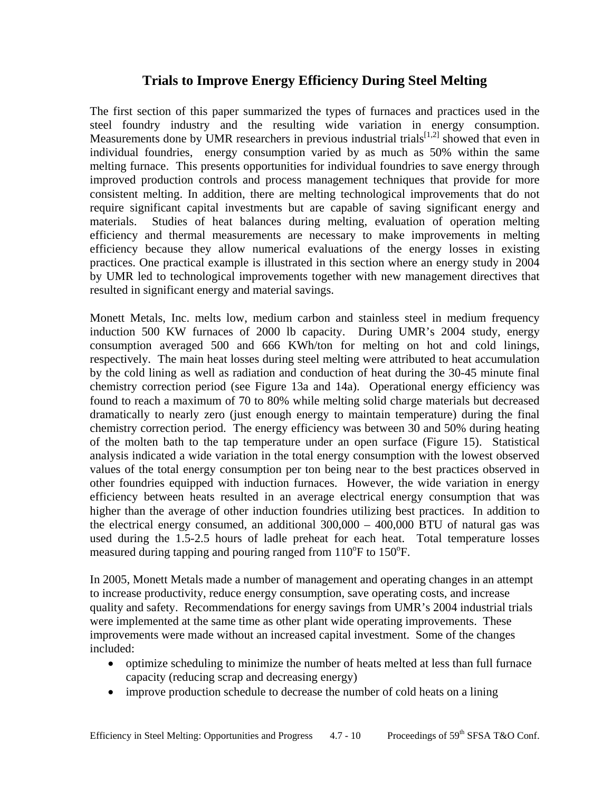## **Trials to Improve Energy Efficiency During Steel Melting**

The first section of this paper summarized the types of furnaces and practices used in the steel foundry industry and the resulting wide variation in energy consumption. Measurements done by UMR researchers in previous industrial trials<sup>[1,2]</sup> showed that even in individual foundries, energy consumption varied by as much as 50% within the same melting furnace. This presents opportunities for individual foundries to save energy through improved production controls and process management techniques that provide for more consistent melting. In addition, there are melting technological improvements that do not require significant capital investments but are capable of saving significant energy and materials. Studies of heat balances during melting, evaluation of operation melting efficiency and thermal measurements are necessary to make improvements in melting efficiency because they allow numerical evaluations of the energy losses in existing practices. One practical example is illustrated in this section where an energy study in 2004 by UMR led to technological improvements together with new management directives that resulted in significant energy and material savings.

Monett Metals, Inc. melts low, medium carbon and stainless steel in medium frequency induction 500 KW furnaces of 2000 lb capacity. During UMR's 2004 study, energy consumption averaged 500 and 666 KWh/ton for melting on hot and cold linings, respectively. The main heat losses during steel melting were attributed to heat accumulation by the cold lining as well as radiation and conduction of heat during the 30-45 minute final chemistry correction period (see Figure 13a and 14a). Operational energy efficiency was found to reach a maximum of 70 to 80% while melting solid charge materials but decreased dramatically to nearly zero (just enough energy to maintain temperature) during the final chemistry correction period. The energy efficiency was between 30 and 50% during heating of the molten bath to the tap temperature under an open surface (Figure 15). Statistical analysis indicated a wide variation in the total energy consumption with the lowest observed values of the total energy consumption per ton being near to the best practices observed in other foundries equipped with induction furnaces. However, the wide variation in energy efficiency between heats resulted in an average electrical energy consumption that was higher than the average of other induction foundries utilizing best practices. In addition to the electrical energy consumed, an additional 300,000 – 400,000 BTU of natural gas was used during the 1.5-2.5 hours of ladle preheat for each heat. Total temperature losses measured during tapping and pouring ranged from  $110^{\circ}$ F to  $150^{\circ}$ F.

In 2005, Monett Metals made a number of management and operating changes in an attempt to increase productivity, reduce energy consumption, save operating costs, and increase quality and safety. Recommendations for energy savings from UMR's 2004 industrial trials were implemented at the same time as other plant wide operating improvements. These improvements were made without an increased capital investment. Some of the changes included:

- optimize scheduling to minimize the number of heats melted at less than full furnace capacity (reducing scrap and decreasing energy)
- improve production schedule to decrease the number of cold heats on a lining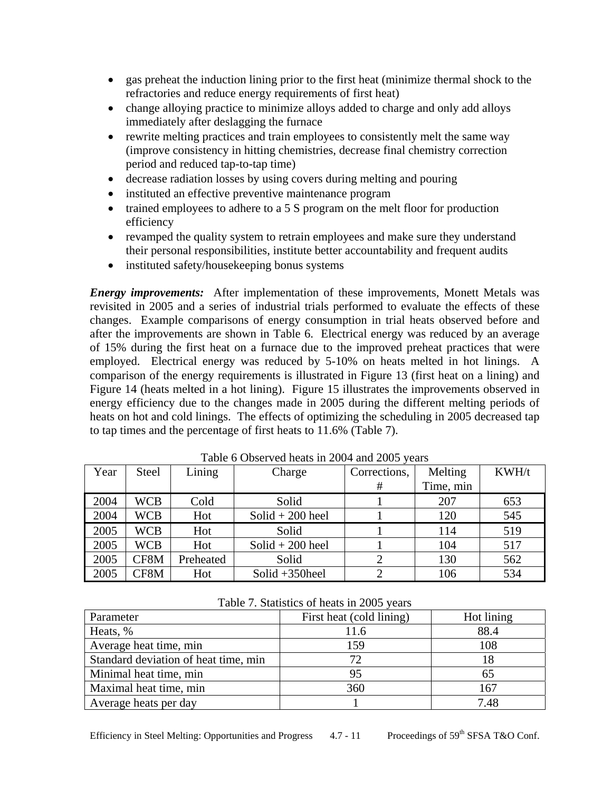- gas preheat the induction lining prior to the first heat (minimize thermal shock to the refractories and reduce energy requirements of first heat)
- change alloying practice to minimize alloys added to charge and only add alloys immediately after deslagging the furnace
- rewrite melting practices and train employees to consistently melt the same way (improve consistency in hitting chemistries, decrease final chemistry correction period and reduced tap-to-tap time)
- decrease radiation losses by using covers during melting and pouring
- instituted an effective preventive maintenance program
- trained employees to adhere to a 5 S program on the melt floor for production efficiency
- revamped the quality system to retrain employees and make sure they understand their personal responsibilities, institute better accountability and frequent audits
- instituted safety/housekeeping bonus systems

*Energy improvements:* After implementation of these improvements, Monett Metals was revisited in 2005 and a series of industrial trials performed to evaluate the effects of these changes. Example comparisons of energy consumption in trial heats observed before and after the improvements are shown in Table 6. Electrical energy was reduced by an average of 15% during the first heat on a furnace due to the improved preheat practices that were employed. Electrical energy was reduced by 5-10% on heats melted in hot linings. A comparison of the energy requirements is illustrated in Figure 13 (first heat on a lining) and Figure 14 (heats melted in a hot lining). Figure 15 illustrates the improvements observed in energy efficiency due to the changes made in 2005 during the different melting periods of heats on hot and cold linings. The effects of optimizing the scheduling in 2005 decreased tap to tap times and the percentage of first heats to 11.6% (Table 7).

| Year | <b>Steel</b> | Lining    | Charge             | Corrections, | Melting   | KWH/t |
|------|--------------|-----------|--------------------|--------------|-----------|-------|
|      |              |           |                    | #            | Time, min |       |
| 2004 | <b>WCB</b>   | Cold      | Solid              |              | 207       | 653   |
| 2004 | <b>WCB</b>   | Hot       | $Solid + 200$ heel |              | 120       | 545   |
| 2005 | <b>WCB</b>   | Hot       | Solid              |              | 114       | 519   |
| 2005 | <b>WCB</b>   | Hot       | $Solid + 200$ heel |              | 104       | 517   |
| 2005 | CF8M         | Preheated | Solid              |              | 130       | 562   |
| 2005 | CF8M         | Hot       | Solid $+350$ heel  |              | 106       | 534   |

Table 6 Observed heats in 2004 and 2005 years

|  | Table 7. Statistics of heats in 2005 years |  |  |  |
|--|--------------------------------------------|--|--|--|
|--|--------------------------------------------|--|--|--|

| Parameter                            | First heat (cold lining) | Hot lining |
|--------------------------------------|--------------------------|------------|
| Heats, %                             |                          | 88.4       |
| Average heat time, min               | 159                      | 108        |
| Standard deviation of heat time, min | 72                       |            |
| Minimal heat time, min               | 95                       | 65         |
| Maximal heat time, min               | 360                      | 167        |
| Average heats per day                |                          | 7.48       |

Efficiency in Steel Melting: Opportunities and Progress 4.7 - 11 Proceedings of 59<sup>th</sup> SFSA T&O Conf.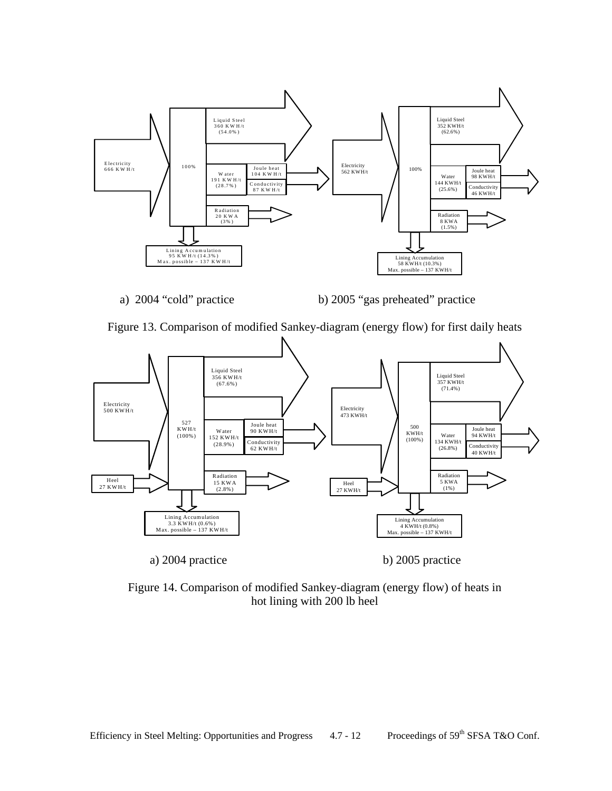

a) 2004 "cold" practice b) 2005 "gas preheated" practice





Figure 14. Comparison of modified Sankey-diagram (energy flow) of heats in hot lining with 200 lb heel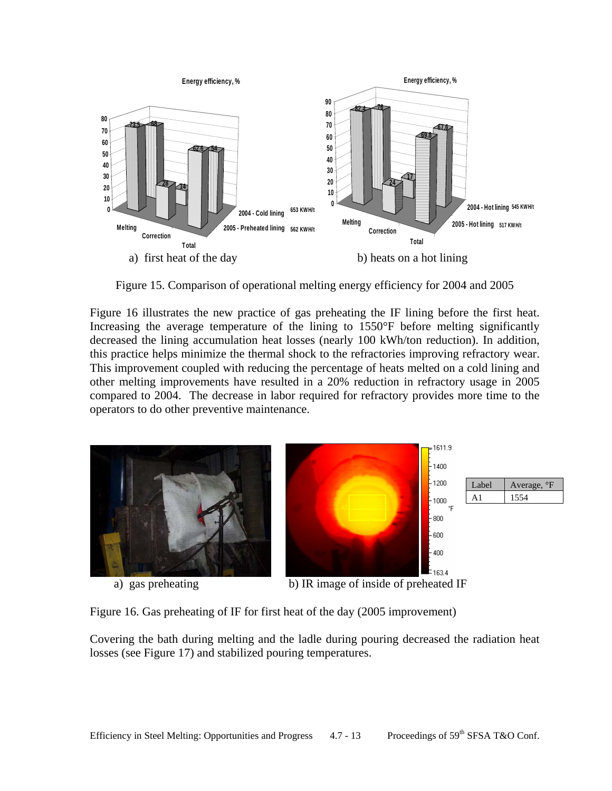

Figure 15. Comparison of operational melting energy efficiency for 2004 and 2005

Figure 16 illustrates the new practice of gas preheating the IF lining before the first heat. Increasing the average temperature of the lining to 1550°F before melting significantly decreased the lining accumulation heat losses (nearly 100 kWh/ton reduction). In addition, this practice helps minimize the thermal shock to the refractories improving refractory wear. This improvement coupled with reducing the percentage of heats melted on a cold lining and other melting improvements have resulted in a 20% reduction in refractory usage in 2005 compared to 2004. The decrease in labor required for refractory provides more time to the operators to do other preventive maintenance.



Figure 16. Gas preheating of IF for first heat of the day (2005 improvement)

Covering the bath during melting and the ladle during pouring decreased the radiation heat losses (see Figure 17) and stabilized pouring temperatures.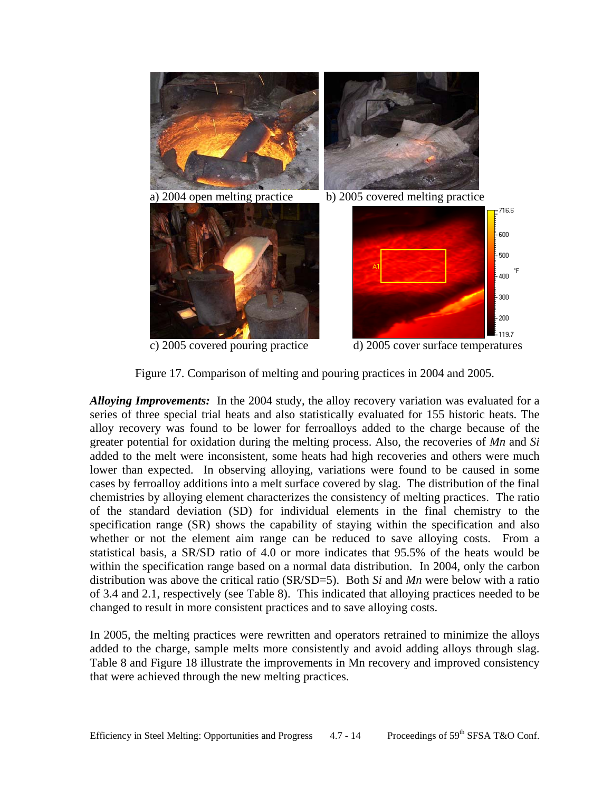

Figure 17. Comparison of melting and pouring practices in 2004 and 2005.

*Alloying Improvements:* In the 2004 study, the alloy recovery variation was evaluated for a series of three special trial heats and also statistically evaluated for 155 historic heats. The alloy recovery was found to be lower for ferroalloys added to the charge because of the greater potential for oxidation during the melting process. Also, the recoveries of *Mn* and *Si* added to the melt were inconsistent, some heats had high recoveries and others were much lower than expected. In observing alloying, variations were found to be caused in some cases by ferroalloy additions into a melt surface covered by slag. The distribution of the final chemistries by alloying element characterizes the consistency of melting practices. The ratio of the standard deviation (SD) for individual elements in the final chemistry to the specification range (SR) shows the capability of staying within the specification and also whether or not the element aim range can be reduced to save alloying costs. From a statistical basis, a SR/SD ratio of 4.0 or more indicates that 95.5% of the heats would be within the specification range based on a normal data distribution. In 2004, only the carbon distribution was above the critical ratio (SR/SD=5). Both *Si* and *Mn* were below with a ratio of 3.4 and 2.1, respectively (see Table 8). This indicated that alloying practices needed to be changed to result in more consistent practices and to save alloying costs.

In 2005, the melting practices were rewritten and operators retrained to minimize the alloys added to the charge, sample melts more consistently and avoid adding alloys through slag. Table 8 and Figure 18 illustrate the improvements in Mn recovery and improved consistency that were achieved through the new melting practices.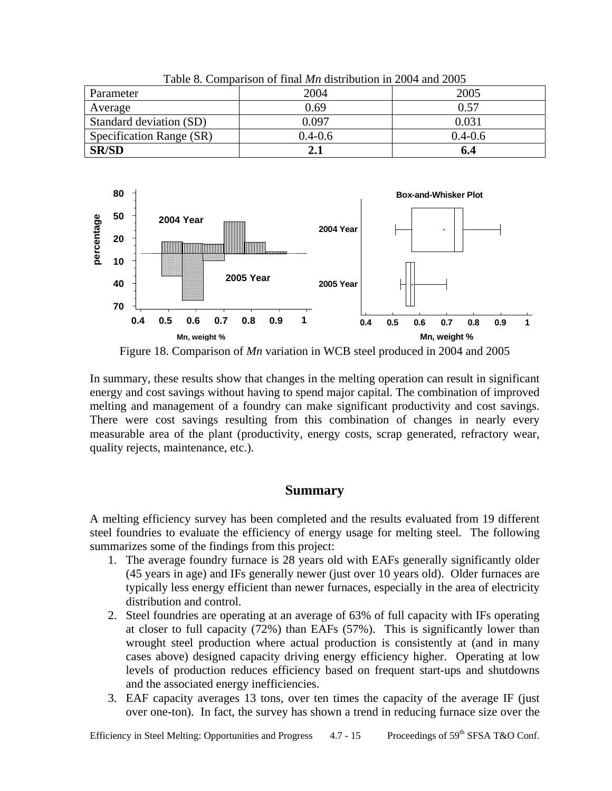| Parameter                | 2004        | 2005        |
|--------------------------|-------------|-------------|
| Average                  | 0.69        | 0.57        |
| Standard deviation (SD)  | 0.097       | 0.031       |
| Specification Range (SR) | $0.4 - 0.6$ | $0.4 - 0.6$ |
| <b>SR/SD</b>             |             | 6.4         |

Table 8. Comparison of final *Mn* distribution in 2004 and 2005



Figure 18. Comparison of *Mn* variation in WCB steel produced in 2004 and 2005

In summary, these results show that changes in the melting operation can result in significant energy and cost savings without having to spend major capital. The combination of improved melting and management of a foundry can make significant productivity and cost savings. There were cost savings resulting from this combination of changes in nearly every measurable area of the plant (productivity, energy costs, scrap generated, refractory wear, quality rejects, maintenance, etc.).

## **Summary**

A melting efficiency survey has been completed and the results evaluated from 19 different steel foundries to evaluate the efficiency of energy usage for melting steel. The following summarizes some of the findings from this project:

- 1. The average foundry furnace is 28 years old with EAFs generally significantly older (45 years in age) and IFs generally newer (just over 10 years old). Older furnaces are typically less energy efficient than newer furnaces, especially in the area of electricity distribution and control.
- 2. Steel foundries are operating at an average of 63% of full capacity with IFs operating at closer to full capacity (72%) than EAFs (57%). This is significantly lower than wrought steel production where actual production is consistently at (and in many cases above) designed capacity driving energy efficiency higher. Operating at low levels of production reduces efficiency based on frequent start-ups and shutdowns and the associated energy inefficiencies.
- 3. EAF capacity averages 13 tons, over ten times the capacity of the average IF (just over one-ton). In fact, the survey has shown a trend in reducing furnace size over the